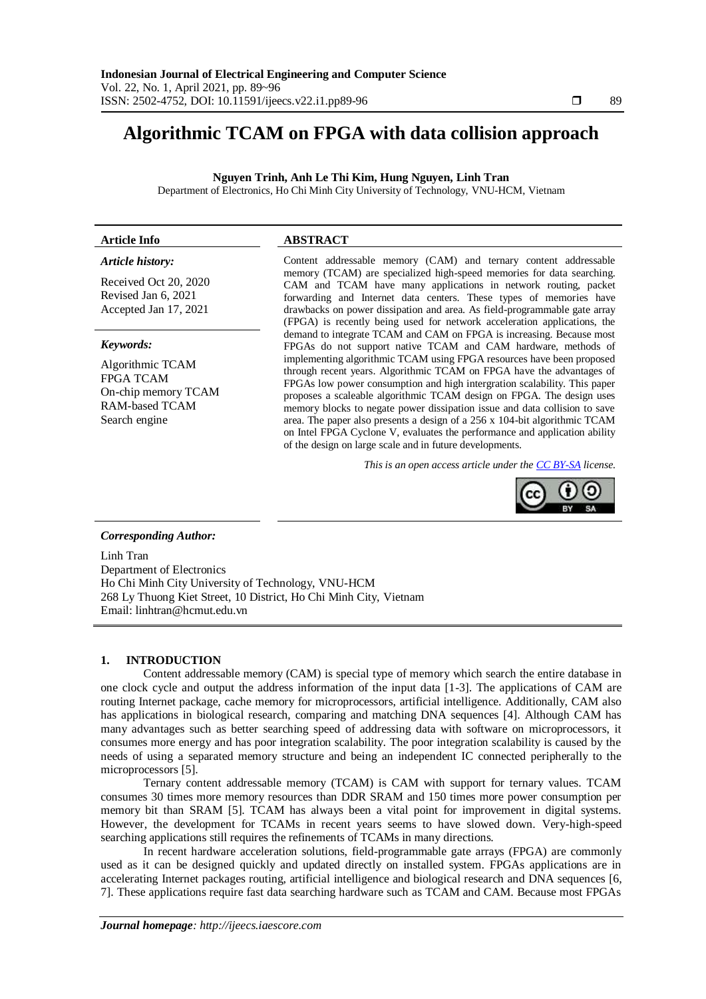# **Algorithmic TCAM on FPGA with data collision approach**

**Nguyen Trinh, Anh Le Thi Kim, Hung Nguyen, Linh Tran**

Department of Electronics, Ho Chi Minh City University of Technology, VNU-HCM, Vietnam

# **Article Info ABSTRACT**

# *Article history:*

Received Oct 20, 2020 Revised Jan 6, 2021 Accepted Jan 17, 2021

### *Keywords:*

Algorithmic TCAM FPGA TCAM On-chip memory TCAM RAM-based TCAM Search engine

Content addressable memory (CAM) and ternary content addressable memory (TCAM) are specialized high-speed memories for data searching. CAM and TCAM have many applications in network routing, packet forwarding and Internet data centers. These types of memories have drawbacks on power dissipation and area. As field-programmable gate array (FPGA) is recently being used for network acceleration applications, the demand to integrate TCAM and CAM on FPGA is increasing. Because most FPGAs do not support native TCAM and CAM hardware, methods of implementing algorithmic TCAM using FPGA resources have been proposed through recent years. Algorithmic TCAM on FPGA have the advantages of FPGAs low power consumption and high intergration scalability. This paper proposes a scaleable algorithmic TCAM design on FPGA. The design uses memory blocks to negate power dissipation issue and data collision to save area. The paper also presents a design of a 256 x 104-bit algorithmic TCAM on Intel FPGA Cyclone V, evaluates the performance and application ability of the design on large scale and in future developments.

*This is an open access article under the [CC BY-SA](https://creativecommons.org/licenses/by-sa/4.0/) license.*



# *Corresponding Author:*

Linh Tran Department of Electronics Ho Chi Minh City University of Technology, VNU-HCM 268 Ly Thuong Kiet Street, 10 District, Ho Chi Minh City, Vietnam Email: linhtran@hcmut.edu.vn

## **1. INTRODUCTION**

Content addressable memory (CAM) is special type of memory which search the entire database in one clock cycle and output the address information of the input data [1-3]. The applications of CAM are routing Internet package, cache memory for microprocessors, artificial intelligence. Additionally, CAM also has applications in biological research, comparing and matching DNA sequences [4]. Although CAM has many advantages such as better searching speed of addressing data with software on microprocessors, it consumes more energy and has poor integration scalability. The poor integration scalability is caused by the needs of using a separated memory structure and being an independent IC connected peripherally to the microprocessors [5].

Ternary content addressable memory (TCAM) is CAM with support for ternary values. TCAM consumes 30 times more memory resources than DDR SRAM and 150 times more power consumption per memory bit than SRAM [5]. TCAM has always been a vital point for improvement in digital systems. However, the development for TCAMs in recent years seems to have slowed down. Very-high-speed searching applications still requires the refinements of TCAMs in many directions.

In recent hardware acceleration solutions, field-programmable gate arrays (FPGA) are commonly used as it can be designed quickly and updated directly on installed system. FPGAs applications are in accelerating Internet packages routing, artificial intelligence and biological research and DNA sequences [6, 7]. These applications require fast data searching hardware such as TCAM and CAM. Because most FPGAs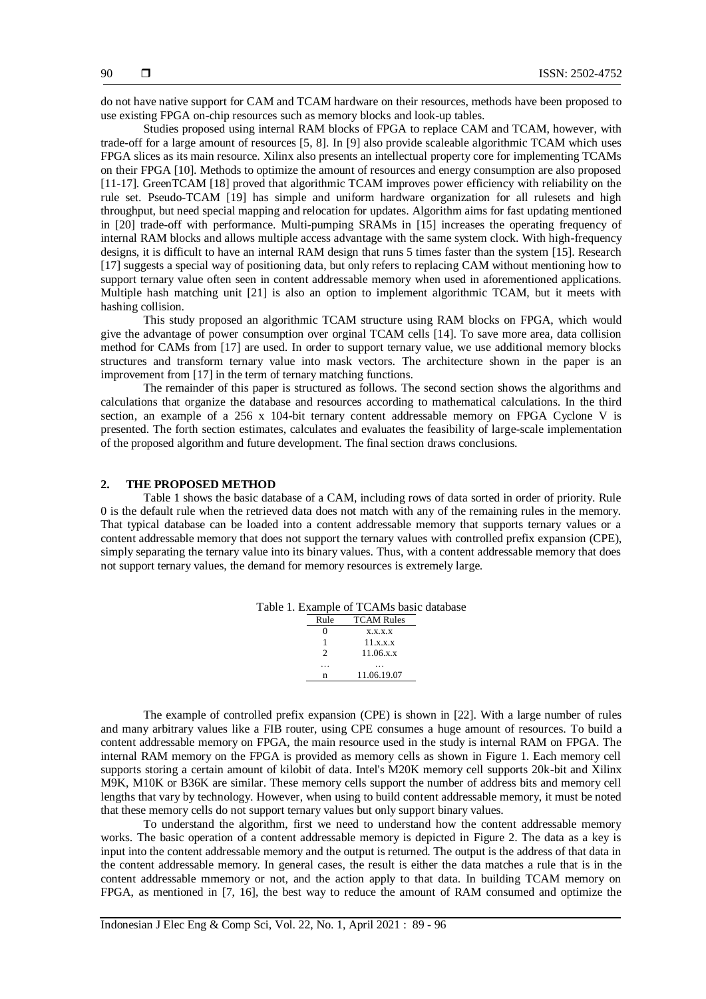do not have native support for CAM and TCAM hardware on their resources, methods have been proposed to use existing FPGA on-chip resources such as memory blocks and look-up tables.

Studies proposed using internal RAM blocks of FPGA to replace CAM and TCAM, however, with trade-off for a large amount of resources [5, 8]. In [9] also provide scaleable algorithmic TCAM which uses FPGA slices as its main resource. Xilinx also presents an intellectual property core for implementing TCAMs on their FPGA [10]. Methods to optimize the amount of resources and energy consumption are also proposed [11-17]. GreenTCAM [18] proved that algorithmic TCAM improves power efficiency with reliability on the rule set. Pseudo-TCAM [19] has simple and uniform hardware organization for all rulesets and high throughput, but need special mapping and relocation for updates. Algorithm aims for fast updating mentioned in [20] trade-off with performance. Multi-pumping SRAMs in [15] increases the operating frequency of internal RAM blocks and allows multiple access advantage with the same system clock. With high-frequency designs, it is difficult to have an internal RAM design that runs 5 times faster than the system [15]. Research [17] suggests a special way of positioning data, but only refers to replacing CAM without mentioning how to support ternary value often seen in content addressable memory when used in aforementioned applications. Multiple hash matching unit [21] is also an option to implement algorithmic TCAM, but it meets with hashing collision.

This study proposed an algorithmic TCAM structure using RAM blocks on FPGA, which would give the advantage of power consumption over orginal TCAM cells [14]. To save more area, data collision method for CAMs from [17] are used. In order to support ternary value, we use additional memory blocks structures and transform ternary value into mask vectors. The architecture shown in the paper is an improvement from [17] in the term of ternary matching functions.

The remainder of this paper is structured as follows. The second section shows the algorithms and calculations that organize the database and resources according to mathematical calculations. In the third section, an example of a 256 x 104-bit ternary content addressable memory on FPGA Cyclone V is presented. The forth section estimates, calculates and evaluates the feasibility of large-scale implementation of the proposed algorithm and future development. The final section draws conclusions.

### **2. THE PROPOSED METHOD**

Table 1 shows the basic database of a CAM, including rows of data sorted in order of priority. Rule 0 is the default rule when the retrieved data does not match with any of the remaining rules in the memory. That typical database can be loaded into a content addressable memory that supports ternary values or a content addressable memory that does not support the ternary values with controlled prefix expansion (CPE), simply separating the ternary value into its binary values. Thus, with a content addressable memory that does not support ternary values, the demand for memory resources is extremely large.

|               | Table 1. Example of TCAMs basic database |  |
|---------------|------------------------------------------|--|
| Rule          | <b>TCAM Rules</b>                        |  |
|               | X, X, X, X                               |  |
|               | 11.x.x.x                                 |  |
| $\mathcal{D}$ | 11.06.x.x                                |  |
|               |                                          |  |
| n             | 11.06.19.07                              |  |

The example of controlled prefix expansion (CPE) is shown in [22]. With a large number of rules and many arbitrary values like a FIB router, using CPE consumes a huge amount of resources. To build a content addressable memory on FPGA, the main resource used in the study is internal RAM on FPGA. The internal RAM memory on the FPGA is provided as memory cells as shown in Figure 1. Each memory cell supports storing a certain amount of kilobit of data. Intel's M20K memory cell supports 20k-bit and Xilinx M9K, M10K or B36K are similar. These memory cells support the number of address bits and memory cell lengths that vary by technology. However, when using to build content addressable memory, it must be noted that these memory cells do not support ternary values but only support binary values.

To understand the algorithm, first we need to understand how the content addressable memory works. The basic operation of a content addressable memory is depicted in Figure 2. The data as a key is input into the content addressable memory and the output is returned. The output is the address of that data in the content addressable memory. In general cases, the result is either the data matches a rule that is in the content addressable mmemory or not, and the action apply to that data. In building TCAM memory on FPGA, as mentioned in [7, 16], the best way to reduce the amount of RAM consumed and optimize the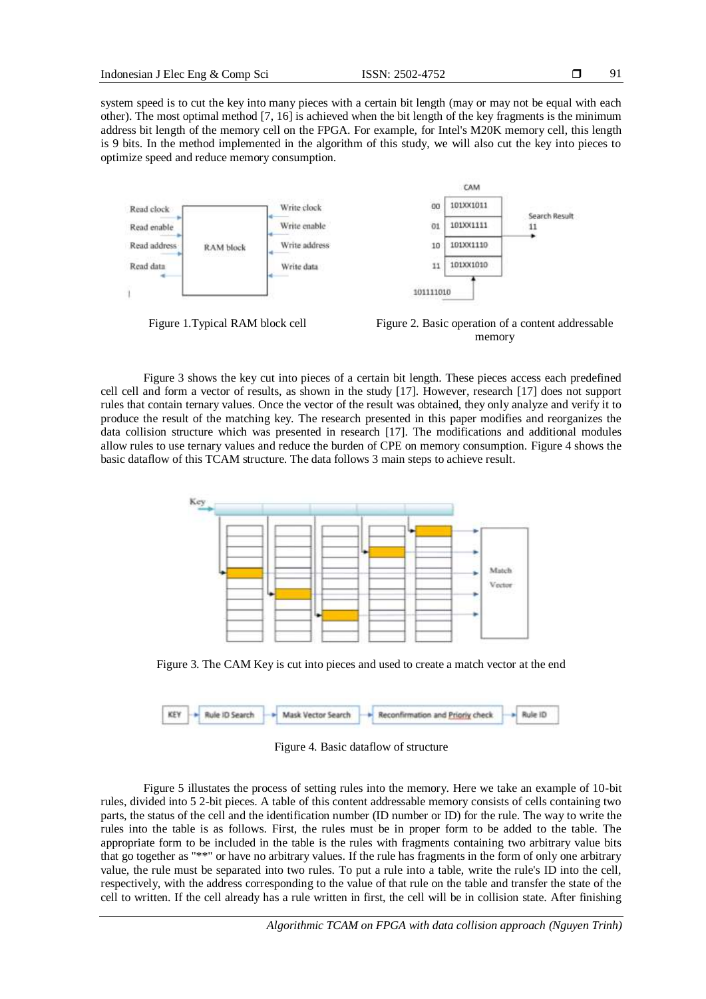system speed is to cut the key into many pieces with a certain bit length (may or may not be equal with each other). The most optimal method [7, 16] is achieved when the bit length of the key fragments is the minimum address bit length of the memory cell on the FPGA. For example, for Intel's M20K memory cell, this length is 9 bits. In the method implemented in the algorithm of this study, we will also cut the key into pieces to optimize speed and reduce memory consumption.



Figure 1. Typical RAM block cell Figure 2. Basic operation of a content addressable memory

Figure 3 shows the key cut into pieces of a certain bit length. These pieces access each predefined cell cell and form a vector of results, as shown in the study [17]. However, research [17] does not support rules that contain ternary values. Once the vector of the result was obtained, they only analyze and verify it to produce the result of the matching key. The research presented in this paper modifies and reorganizes the data collision structure which was presented in research [17]. The modifications and additional modules allow rules to use ternary values and reduce the burden of CPE on memory consumption. Figure 4 shows the basic dataflow of this TCAM structure. The data follows 3 main steps to achieve result.



Figure 3. The CAM Key is cut into pieces and used to create a match vector at the end

|  |  |  | <b>KEY</b> - Rule ID Search - Mask Vector Search - Reconfirmation and <u>Prioriy</u> check - Rule ID |  |  |
|--|--|--|------------------------------------------------------------------------------------------------------|--|--|
|  |  |  |                                                                                                      |  |  |

Figure 4. Basic dataflow of structure

Figure 5 illustates the process of setting rules into the memory. Here we take an example of 10-bit rules, divided into 5 2-bit pieces. A table of this content addressable memory consists of cells containing two parts, the status of the cell and the identification number (ID number or ID) for the rule. The way to write the rules into the table is as follows. First, the rules must be in proper form to be added to the table. The appropriate form to be included in the table is the rules with fragments containing two arbitrary value bits that go together as "\*\*" or have no arbitrary values. If the rule has fragments in the form of only one arbitrary value, the rule must be separated into two rules. To put a rule into a table, write the rule's ID into the cell, respectively, with the address corresponding to the value of that rule on the table and transfer the state of the cell to written. If the cell already has a rule written in first, the cell will be in collision state. After finishing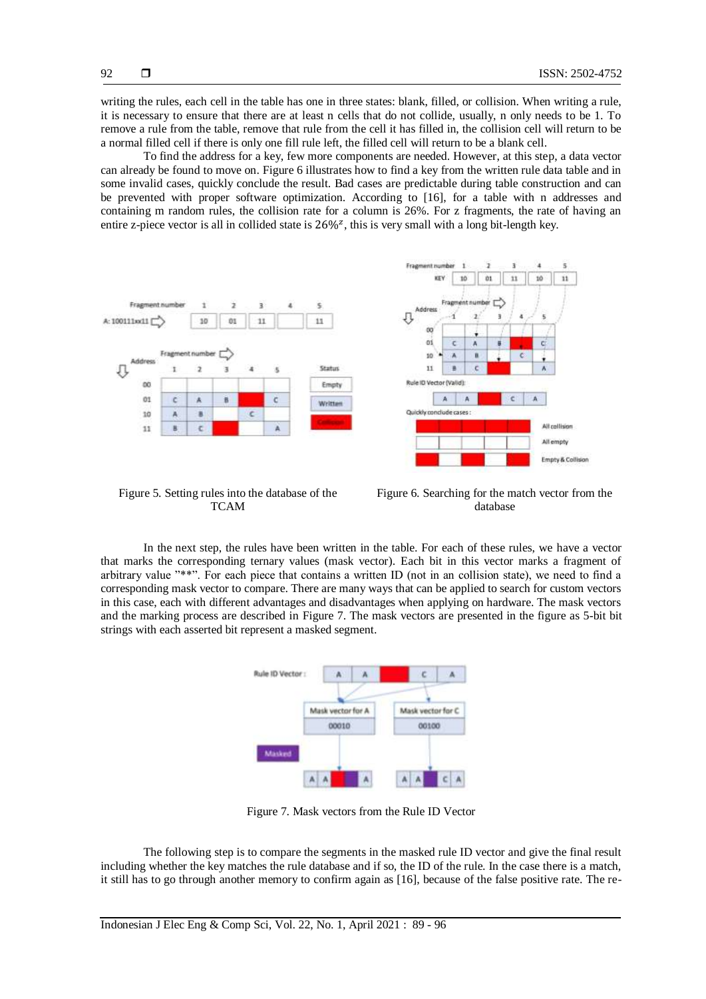writing the rules, each cell in the table has one in three states: blank, filled, or collision. When writing a rule, it is necessary to ensure that there are at least n cells that do not collide, usually, n only needs to be 1. To remove a rule from the table, remove that rule from the cell it has filled in, the collision cell will return to be a normal filled cell if there is only one fill rule left, the filled cell will return to be a blank cell.

To find the address for a key, few more components are needed. However, at this step, a data vector can already be found to move on. Figure 6 illustrates how to find a key from the written rule data table and in some invalid cases, quickly conclude the result. Bad cases are predictable during table construction and can be prevented with proper software optimization. According to [16], for a table with n addresses and containing m random rules, the collision rate for a column is 26%. For z fragments, the rate of having an entire z-piece vector is all in collided state is  $26\%$ <sup>z</sup>, this is very small with a long bit-length key.



Figure 5. Setting rules into the database of the TCAM

Figure 6. Searching for the match vector from the database

In the next step, the rules have been written in the table. For each of these rules, we have a vector that marks the corresponding ternary values (mask vector). Each bit in this vector marks a fragment of arbitrary value "\*\*". For each piece that contains a written ID (not in an collision state), we need to find a corresponding mask vector to compare. There are many ways that can be applied to search for custom vectors in this case, each with different advantages and disadvantages when applying on hardware. The mask vectors and the marking process are described in Figure 7. The mask vectors are presented in the figure as 5-bit bit strings with each asserted bit represent a masked segment.



Figure 7. Mask vectors from the Rule ID Vector

The following step is to compare the segments in the masked rule ID vector and give the final result including whether the key matches the rule database and if so, the ID of the rule. In the case there is a match, it still has to go through another memory to confirm again as [16], because of the false positive rate. The re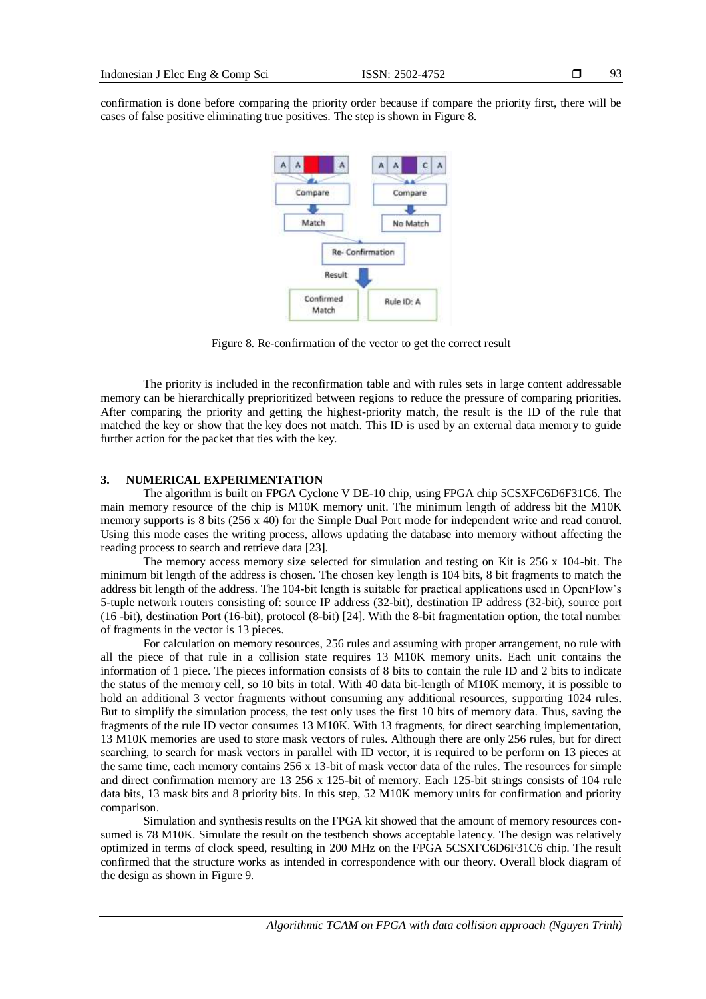confirmation is done before comparing the priority order because if compare the priority first, there will be cases of false positive eliminating true positives. The step is shown in Figure 8.



Figure 8. Re-confirmation of the vector to get the correct result

The priority is included in the reconfirmation table and with rules sets in large content addressable memory can be hierarchically preprioritized between regions to reduce the pressure of comparing priorities. After comparing the priority and getting the highest-priority match, the result is the ID of the rule that matched the key or show that the key does not match. This ID is used by an external data memory to guide further action for the packet that ties with the key.

# **3. NUMERICAL EXPERIMENTATION**

The algorithm is built on FPGA Cyclone V DE-10 chip, using FPGA chip 5CSXFC6D6F31C6. The main memory resource of the chip is M10K memory unit. The minimum length of address bit the M10K memory supports is 8 bits (256 x 40) for the Simple Dual Port mode for independent write and read control. Using this mode eases the writing process, allows updating the database into memory without affecting the reading process to search and retrieve data [23].

The memory access memory size selected for simulation and testing on Kit is 256 x 104-bit. The minimum bit length of the address is chosen. The chosen key length is 104 bits, 8 bit fragments to match the address bit length of the address. The 104-bit length is suitable for practical applications used in OpenFlow's 5-tuple network routers consisting of: source IP address (32-bit), destination IP address (32-bit), source port (16 -bit), destination Port (16-bit), protocol (8-bit) [24]. With the 8-bit fragmentation option, the total number of fragments in the vector is 13 pieces.

For calculation on memory resources, 256 rules and assuming with proper arrangement, no rule with all the piece of that rule in a collision state requires 13 M10K memory units. Each unit contains the information of 1 piece. The pieces information consists of 8 bits to contain the rule ID and 2 bits to indicate the status of the memory cell, so 10 bits in total. With 40 data bit-length of M10K memory, it is possible to hold an additional 3 vector fragments without consuming any additional resources, supporting 1024 rules. But to simplify the simulation process, the test only uses the first 10 bits of memory data. Thus, saving the fragments of the rule ID vector consumes 13 M10K. With 13 fragments, for direct searching implementation, 13 M10K memories are used to store mask vectors of rules. Although there are only 256 rules, but for direct searching, to search for mask vectors in parallel with ID vector, it is required to be perform on 13 pieces at the same time, each memory contains 256 x 13-bit of mask vector data of the rules. The resources for simple and direct confirmation memory are 13 256 x 125-bit of memory. Each 125-bit strings consists of 104 rule data bits, 13 mask bits and 8 priority bits. In this step, 52 M10K memory units for confirmation and priority comparison.

Simulation and synthesis results on the FPGA kit showed that the amount of memory resources consumed is 78 M10K. Simulate the result on the testbench shows acceptable latency. The design was relatively optimized in terms of clock speed, resulting in 200 MHz on the FPGA 5CSXFC6D6F31C6 chip. The result confirmed that the structure works as intended in correspondence with our theory. Overall block diagram of the design as shown in Figure 9.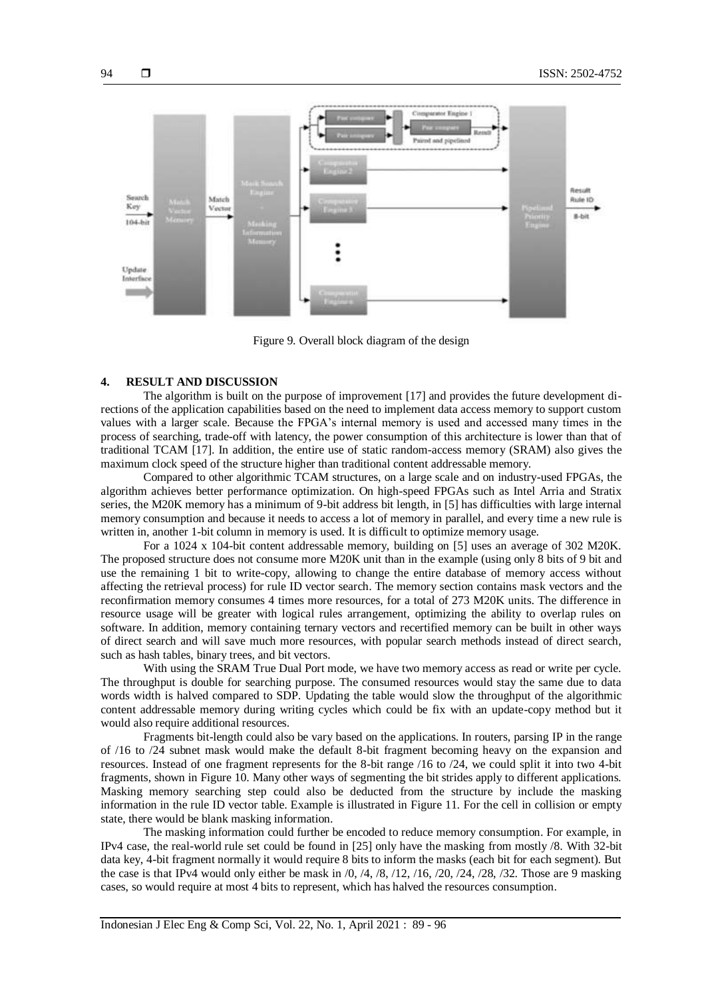

Figure 9. Overall block diagram of the design

# **4. RESULT AND DISCUSSION**

The algorithm is built on the purpose of improvement [17] and provides the future development directions of the application capabilities based on the need to implement data access memory to support custom values with a larger scale. Because the FPGA's internal memory is used and accessed many times in the process of searching, trade-off with latency, the power consumption of this architecture is lower than that of traditional TCAM [17]. In addition, the entire use of static random-access memory (SRAM) also gives the maximum clock speed of the structure higher than traditional content addressable memory.

Compared to other algorithmic TCAM structures, on a large scale and on industry-used FPGAs, the algorithm achieves better performance optimization. On high-speed FPGAs such as Intel Arria and Stratix series, the M20K memory has a minimum of 9-bit address bit length, in [5] has difficulties with large internal memory consumption and because it needs to access a lot of memory in parallel, and every time a new rule is written in, another 1-bit column in memory is used. It is difficult to optimize memory usage.

For a 1024 x 104-bit content addressable memory, building on [5] uses an average of 302 M20K. The proposed structure does not consume more M20K unit than in the example (using only 8 bits of 9 bit and use the remaining 1 bit to write-copy, allowing to change the entire database of memory access without affecting the retrieval process) for rule ID vector search. The memory section contains mask vectors and the reconfirmation memory consumes 4 times more resources, for a total of 273 M20K units. The difference in resource usage will be greater with logical rules arrangement, optimizing the ability to overlap rules on software. In addition, memory containing ternary vectors and recertified memory can be built in other ways of direct search and will save much more resources, with popular search methods instead of direct search, such as hash tables, binary trees, and bit vectors.

With using the SRAM True Dual Port mode, we have two memory access as read or write per cycle. The throughput is double for searching purpose. The consumed resources would stay the same due to data words width is halved compared to SDP. Updating the table would slow the throughput of the algorithmic content addressable memory during writing cycles which could be fix with an update-copy method but it would also require additional resources.

Fragments bit-length could also be vary based on the applications. In routers, parsing IP in the range of /16 to /24 subnet mask would make the default 8-bit fragment becoming heavy on the expansion and resources. Instead of one fragment represents for the 8-bit range /16 to /24, we could split it into two 4-bit fragments, shown in Figure 10. Many other ways of segmenting the bit strides apply to different applications. Masking memory searching step could also be deducted from the structure by include the masking information in the rule ID vector table. Example is illustrated in Figure 11. For the cell in collision or empty state, there would be blank masking information.

The masking information could further be encoded to reduce memory consumption. For example, in IPv4 case, the real-world rule set could be found in [25] only have the masking from mostly /8. With 32-bit data key, 4-bit fragment normally it would require 8 bits to inform the masks (each bit for each segment). But the case is that IPv4 would only either be mask in  $/0$ ,  $/4$ ,  $/8$ ,  $/12$ ,  $/16$ ,  $/20$ ,  $/24$ ,  $/28$ ,  $/32$ . Those are 9 masking cases, so would require at most 4 bits to represent, which has halved the resources consumption.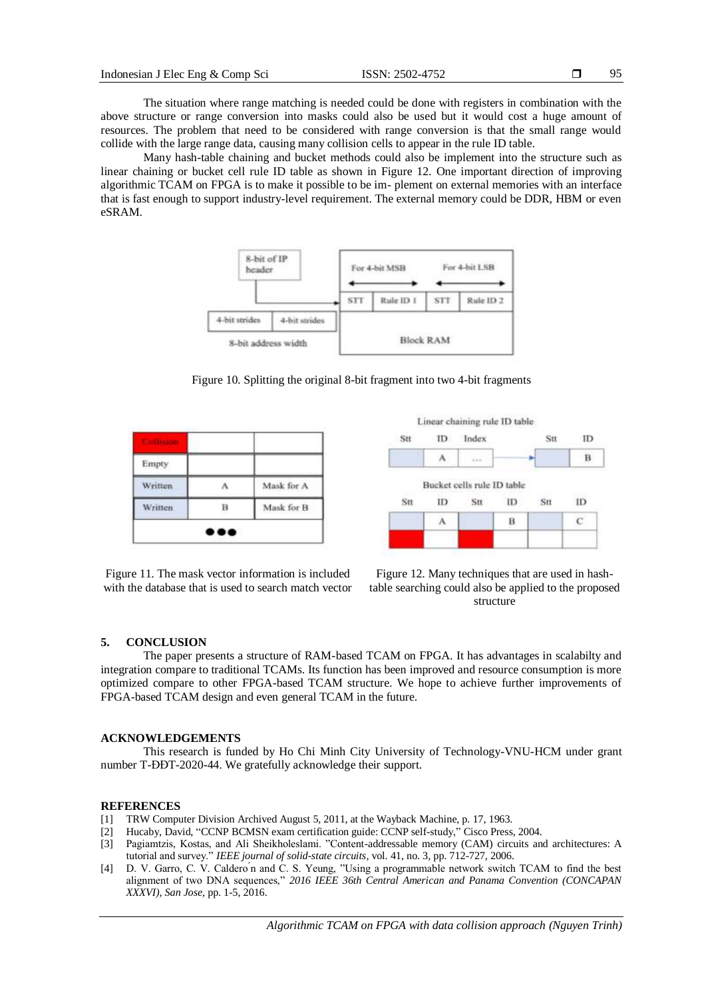The situation where range matching is needed could be done with registers in combination with the above structure or range conversion into masks could also be used but it would cost a huge amount of resources. The problem that need to be considered with range conversion is that the small range would collide with the large range data, causing many collision cells to appear in the rule ID table.

Many hash-table chaining and bucket methods could also be implement into the structure such as linear chaining or bucket cell rule ID table as shown in Figure 12. One important direction of improving algorithmic TCAM on FPGA is to make it possible to be im- plement on external memories with an interface that is fast enough to support industry-level requirement. The external memory could be DDR, HBM or even eSRAM.



Figure 10. Splitting the original 8-bit fragment into two 4-bit fragments

| - 2     |   |            |
|---------|---|------------|
| Empty   |   |            |
| Written |   | Mask for A |
| Written | B | Mask for B |

Figure 11. The mask vector information is included with the database that is used to search match vector





# **5. CONCLUSION**

The paper presents a structure of RAM-based TCAM on FPGA. It has advantages in scalabilty and integration compare to traditional TCAMs. Its function has been improved and resource consumption is more optimized compare to other FPGA-based TCAM structure. We hope to achieve further improvements of FPGA-based TCAM design and even general TCAM in the future.

#### **ACKNOWLEDGEMENTS**

This research is funded by Ho Chi Minh City University of Technology-VNU-HCM under grant number T-ĐĐT-2020-44. We gratefully acknowledge their support.

#### **REFERENCES**

- [1] TRW Computer Division Archived August 5, 2011, at the Wayback Machine, p. 17, 1963.
- [2] Hucaby, David, "CCNP BCMSN exam certification guide: CCNP self-study," Cisco Press, 2004.
- [3] Pagiamtzis, Kostas, and Ali Sheikholeslami. "Content-addressable memory (CAM) circuits and architectures: A tutorial and survey." *IEEE journal of solid-state circuits,* vol. 41, no. 3, pp. 712-727, 2006.
- [4] D. V. Garro, C. V. Caldero n and C. S. Yeung, "Using a programmable network switch TCAM to find the best alignment of two DNA sequences," *2016 IEEE 36th Central American and Panama Convention (CONCAPAN XXXVI), San Jose*, pp. 1-5, 2016.